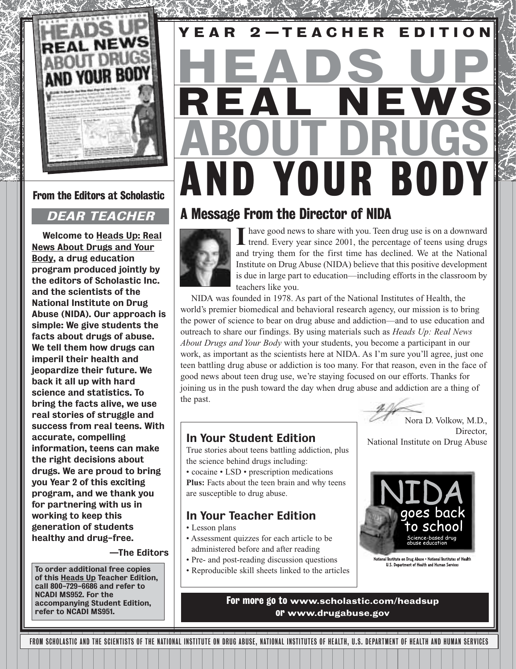

From the Editors at Scholastic

### DEAR TEACHER

Welcome to Heads Up: Real News About Drugs and Your Body, a drug education program produced jointly by the editors of Scholastic Inc. and the scientists of the National Institute on Drug Abuse (NIDA). Our approach is simple: We give students the facts about drugs of abuse. We tell them how drugs can imperil their health and jeopardize their future. We back it all up with hard science and statistics. To bring the facts alive, we use real stories of struggle and success from real teens. With accurate, compelling information, teens can make the right decisions about drugs. We are proud to bring you Year 2 of this exciting program, and we thank you for partnering with us in working to keep this generation of students healthy and drug-free.

—The Editors

To order additional free copies • Reproducible skill sheets linked to the articles of this Heads Up Teacher Edition. call 800-729-6686 and refer to NCADI MS952. For the accompanying Student Edition, refer to NCADI MS951.

# AND YOUR BODY REAL NEWS HEADS UP ABOUT DRUGS YEAR 2—TEACHER ED IT ION

### A Message From the Director of NIDA



**I** have good news to share with you. Teen drug use is on a downward trend. Every year since 2001, the percentage of teens using drugs and trying them for the first time has declined. We at the National Institute on Drug Abuse (NIDA) believe that this positive development is due in large part to education—including efforts in the classroom by teachers like you.

NIDA was founded in 1978. As part of the National Institutes of Health, the world's premier biomedical and behavioral research agency, our mission is to bring the power of science to bear on drug abuse and addiction—and to use education and outreach to share our findings. By using materials such as *Heads Up: Real News About Drugs and Your Body* with your students, you become a participant in our work, as important as the scientists here at NIDA. As I'm sure you'll agree, just one teen battling drug abuse or addiction is too many. For that reason, even in the face of good news about teen drug use, we're staying focused on our efforts. Thanks for joining us in the push toward the day when drug abuse and addiction are a thing of the past.



In Your Student Edition

True stories about teens battling addiction, plus the science behind drugs including:

• cocaine • LSD • prescription medications **Plus:** Facts about the teen brain and why teens are susceptible to drug abuse.

### In Your Teacher Edition

- Lesson plans
- Assessment quizzes for each article to be administered before and after reading
- Pre- and post-reading discussion questions
- 



National Institute on Drug Abuse

Director

National Institute on Drug Abuse • National Institutes of Health<br>U.S. Department of Health and Human Services

For more go to www.scholastic.com/headsup or www.drugabuse.gov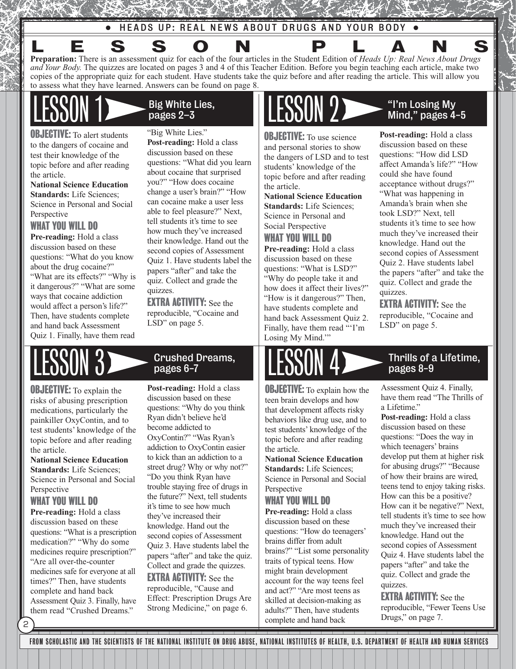• HEADS UP: REAL NEWS ABOUT DRUGS AND YOUR BODY •

**Preparation:** There is an assessment quiz for each of the four articles in the Student Edition of *Heads Up: Real News About Drugs and Your Body.* The quizzes are located on pages 3 and 4 of this Teacher Edition. Before you begin teaching each article, make two copies of the appropriate quiz for each student. Have students take the quiz before and after reading the article. This will allow you to assess what they have learned. Answers can be found on page 8. LESSON PLANS

**OBJECTIVE:** To alert students to the dangers of cocaine and test their knowledge of the topic before and after reading the article.

**National Science Education Standards:** Life Sciences; Science in Personal and Social Perspective

### WHAT YOU WILL DO

**Pre-reading:** Hold a class discussion based on these questions: "What do you know about the drug cocaine?" "What are its effects?" "Why is it dangerous?" "What are some ways that cocaine addiction would affect a person's life?" Then, have students complete and hand back Assessment Quiz 1. Finally, have them read

Big White Lies, pages 2–3

"Big White Lies." **Post-reading:** Hold a class discussion based on these questions: "What did you learn about cocaine that surprised you?" "How does cocaine change a user's brain?" "How can cocaine make a user less able to feel pleasure?" Next, tell students it's time to see how much they've increased their knowledge. Hand out the second copies of Assessment Quiz 1. Have students label the papers "after" and take the quiz. Collect and grade the quizzes.

EXTRA ACTIVITY: See the reproducible, "Cocaine and LSD" on page 5.

**OBJECTIVE:** To explain the risks of abusing prescription medications, particularly the painkiller OxyContin, and to test students' knowledge of the topic before and after reading the article.

**National Science Education Standards:** Life Sciences; Science in Personal and Social Perspective

### WHAT YOU WILL DO

2

**Pre-reading:** Hold a class discussion based on these questions: "What is a prescription medication?" "Why do some medicines require prescription?" "Are all over-the-counter medicines safe for everyone at all times?" Then, have students complete and hand back Assessment Quiz 3. Finally, have them read "Crushed Dreams."

Crushed Dreams, pages 6-7

**Post-reading:** Hold a class discussion based on these questions: "Why do you think Ryan didn't believe he'd become addicted to OxyContin?" "Was Ryan's addiction to OxyContin easier to kick than an addiction to a street drug? Why or why not?" "Do you think Ryan have trouble staying free of drugs in the future?" Next, tell students it's time to see how much they've increased their knowledge. Hand out the second copies of Assessment Quiz 3. Have students label the papers "after" and take the quiz. Collect and grade the quizzes.

**EXTRA ACTIVITY:** See the reproducible, "Cause and Effect: Prescription Drugs Are Strong Medicine," on page 6.

**OBJECTIVE:** To use science and personal stories to show the dangers of LSD and to test students' knowledge of the topic before and after reading the article.

**National Science Education Standards:** Life Sciences; Science in Personal and Social Perspective

### WHAT YOU WILL DO

**Pre-reading:** Hold a class discussion based on these questions: "What is LSD?" "Why do people take it and how does it affect their lives?" "How is it dangerous?" Then, have students complete and hand back Assessment Quiz 2. Finally, have them read "'I'm Losing My Mind.'"

## $\text{ESOM 2}$   $\longrightarrow$  "I'm Losing My Mind," pages 4-5

**Post-reading:** Hold a class discussion based on these questions: "How did LSD affect Amanda's life?" "How could she have found acceptance without drugs?" "What was happening in Amanda's brain when she took LSD?" Next, tell students it's time to see how much they've increased their knowledge. Hand out the second copies of Assessment Quiz 2. Have students label the papers "after" and take the quiz. Collect and grade the quizzes.

EXTRA ACTIVITY: See the reproducible, "Cocaine and LSD" on page 5.

# $\text{LESONN } 3$   $\text{Crushed Dreams}, \text{ LESON } 4$   $\text{D}$  Thrills of a Lifetime,

**OBJECTIVE:** To explain how the teen brain develops and how that development affects risky behaviors like drug use, and to test students' knowledge of the topic before and after reading the article.

### **National Science Education Standards:** Life Sciences; Science in Personal and Social

Perspective

### WHAT YOU WILL DO

**Pre-reading:** Hold a class discussion based on these questions: "How do teenagers' brains differ from adult brains?" "List some personality traits of typical teens. How might brain development account for the way teens feel and act?" "Are most teens as skilled at decision-making as adults?" Then, have students complete and hand back

Assessment Quiz 4. Finally, have them read "The Thrills of a Lifetime."

**Post-reading:** Hold a class discussion based on these questions: "Does the way in which teenagers' brains develop put them at higher risk for abusing drugs?" "Because of how their brains are wired, teens tend to enjoy taking risks. How can this be a positive? How can it be negative?" Next, tell students it's time to see how much they've increased their knowledge. Hand out the second copies of Assessment Quiz 4. Have students label the papers "after" and take the quiz. Collect and grade the quizzes.

**EXTRA ACTIVITY:** See the reproducible, "Fewer Teens Use Drugs," on page 7.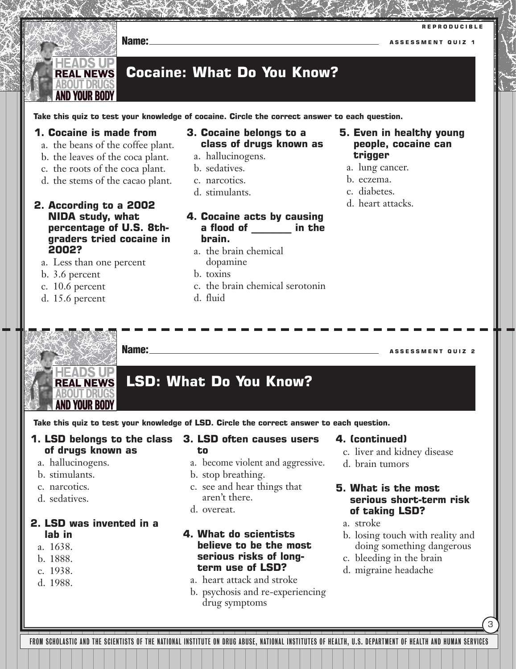

d. the stems of the cacao plant.

### **2. According to a 2002 NIDA study, what percentage of U.S. 8thgraders tried cocaine in 2002?**

- a. Less than one percent
- b. 3.6 percent
- c. 10.6 percent
- d. 15.6 percent
- b. sedatives.
- c. narcotics.
- d. stimulants.
- **4. Cocaine acts by causing a flood of \_\_\_\_\_\_\_\_ in the brain.**
	- a. the brain chemical dopamine
	- b. toxins
	- c. the brain chemical serotonin
	- d. fluid
- a. lung cancer.
- b. eczema.
- c. diabetes.
- d. heart attacks.

**Name: ASSESSMENT QUIZ 2 HEADS UP LSD: What Do You Know? REAL NEWS** ABOUT DRUG! **AND YOUR BODY** 

**Take this quiz to test your knowledge of LSD. Circle the correct answer to each question.** 

- **1. LSD belongs to the class of drugs known as** 
	- a. hallucinogens.
	- b. stimulants.
	- c. narcotics.
	- d. sedatives.

### **2. LSD was invented in a lab in**

- a. 1638.
- b. 1888.
- c. 1938.
- d. 1988.

### **3. LSD often causes users to**

- a. become violent and aggressive.
- b. stop breathing.
- c. see and hear things that aren't there.
- d. overeat.

**4. What do scientists believe to be the most serious risks of longterm use of LSD?**

- a. heart attack and stroke
- b. psychosis and re-experiencing drug symptoms

### **4. (continued)**

- c. liver and kidney disease
- d. brain tumors

### **5. What is the most serious short-term risk of taking LSD?**

- a. stroke
- b. losing touch with reality and doing something dangerous

3

- c. bleeding in the brain
- d. migraine headache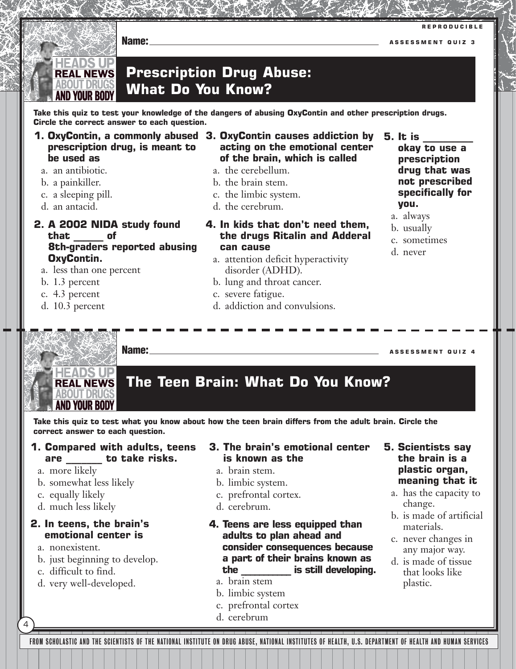

### **Prescription Drug Abuse: REAL NEWS** ABOUT DRUGS **What Do You Know?** AND YOUR RODY

**Take this quiz to test your knowledge of the dangers of abusing OxyContin and other prescription drugs. Circle the correct answer to each question.**

- **prescription drug, is meant to be used as**
	- a. an antibiotic.

**IEADS UI** 

- b. a painkiller.
- c. a sleeping pill.
- d. an antacid.

### **2. A 2002 NIDA study found that \_\_\_\_\_\_ of 8th-graders reported abusing OxyContin.**

- a. less than one percent
- b. 1.3 percent
- c. 4.3 percent
- d. 10.3 percent
- **1. OxyContin, a commonly abused 3. OxyContin causes addiction by acting on the emotional center of the brain, which is called** 
	- a. the cerebellum.
	- b. the brain stem.
	- c. the limbic system.
	- d. the cerebrum.
	- **4. In kids that don't need them, the drugs Ritalin and Adderal can cause**
		- a. attention deficit hyperactivity disorder (ADHD).
		- b. lung and throat cancer.
		- c. severe fatigue.
		- d. addiction and convulsions.
- **okay to use a prescription drug that was not prescribed specifically for you.**
- a. always

**5. It is \_\_\_\_\_\_\_\_\_\_**

- b. usually
- c. sometimes
- d. never

IFADS UP **REAL NEWS** 

> **ABOUT DRUGS AND YOUR BODY**

### **The Teen Brain: What Do You Know?**

**Take this quiz to test what you know about how the teen brain differs from the adult brain. Circle the correct answer to each question.**

### **1. Compared with adults, teens are \_\_\_\_\_\_\_ to take risks.**

- a. more likely
- b. somewhat less likely
- c. equally likely
- d. much less likely

### **2. In teens, the brain's emotional center is**

a. nonexistent.

4

- b. just beginning to develop.
- c. difficult to find.
- d. very well-developed.

### **3. The brain's emotional center is known as the**

- a. brain stem.
- b. limbic system.
- c. prefrontal cortex.
- d. cerebrum.
- **4. Teens are less equipped than adults to plan ahead and consider consequences because a part of their brains known as the \_\_\_\_\_\_\_\_\_\_\_ is still developing.**
	- a. brain stem
	- b. limbic system
	- c. prefrontal cortex
	- d. cerebrum

### **5. Scientists say the brain is a plastic organ, meaning that it**

- a. has the capacity to change.
- b. is made of artificial materials.
- c. never changes in any major way.
- d. is made of tissue that looks like plastic.

FROM SCHOLASTIC AND THE SCIENTISTS OF THE NATIONAL INSTITUTE ON DRUG ABUSE, NATIONAL INSTITUTES OF HEALTH, U.S. DEPARTMENT OF HEALTH AND HUMAN SERVICES

**Name: ASSESSMENT QUIZ 4**

**Name: ASSESSMENT QUIZ 3**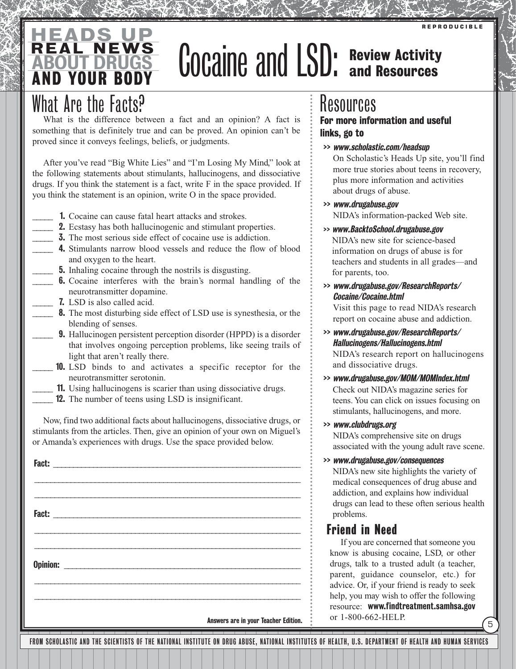### AND YOUR BODY REAL NEWS EADS ABOUT DRUGS

# GOCAINE and LSD: Review Activity

## What Are the Facts?

What is the difference between a fact and an opinion? A fact is something that is definitely true and can be proved. An opinion can't be proved since it conveys feelings, beliefs, or judgments.

After you've read "Big White Lies" and "I'm Losing My Mind," look at the following statements about stimulants, hallucinogens, and dissociative drugs. If you think the statement is a fact, write F in the space provided. If you think the statement is an opinion, write O in the space provided.

- **1.** Cocaine can cause fatal heart attacks and strokes.
	- 2. Ecstasy has both hallucinogenic and stimulant properties.
- **3.** The most serious side effect of cocaine use is addiction.
- **4.** Stimulants narrow blood vessels and reduce the flow of blood and oxygen to the heart.
- **5.** Inhaling cocaine through the nostrils is disgusting.
	- **6.** Cocaine interferes with the brain's normal handling of the neurotransmitter dopamine.
	- **7.** LSD is also called acid.
	- \_\_\_\_\_ 8. The most disturbing side effect of LSD use is synesthesia, or the blending of senses.
	- \_\_\_\_\_ 9. Hallucinogen persistent perception disorder (HPPD) is a disorder that involves ongoing perception problems, like seeing trails of light that aren't really there.
- **10.** LSD binds to and activates a specific receptor for the neurotransmitter serotonin.
- \_\_\_\_\_ 11. Using hallucinogens is scarier than using dissociative drugs.
- **12.** The number of teens using LSD is insignificant.

Now, find two additional facts about hallucinogens, dissociative drugs, or stimulants from the articles. Then, give an opinion of your own on Miguel's or Amanda's experiences with drugs. Use the space provided below.

Fact: \_\_\_\_\_\_\_\_\_\_\_\_\_\_\_\_\_\_\_\_\_\_\_\_\_\_\_\_\_\_\_\_\_\_\_\_\_\_\_\_\_\_\_\_\_\_\_\_\_\_\_\_\_\_\_\_\_\_\_\_\_\_ \_\_\_\_\_\_\_\_\_\_\_\_\_\_\_\_\_\_\_\_\_\_\_\_\_\_\_\_\_\_\_\_\_\_\_\_\_\_\_\_\_\_\_\_\_\_\_\_\_\_\_\_\_\_\_\_\_\_\_\_\_\_\_\_\_\_ \_\_\_\_\_\_\_\_\_\_\_\_\_\_\_\_\_\_\_\_\_\_\_\_\_\_\_\_\_\_\_\_\_\_\_\_\_\_\_\_\_\_\_\_\_\_\_\_\_\_\_\_\_\_\_\_\_\_\_\_\_\_\_\_\_\_ Fact: \_\_\_\_\_\_\_\_\_\_\_\_\_\_\_\_\_\_\_\_\_\_\_\_\_\_\_\_\_\_\_\_\_\_\_\_\_\_\_\_\_\_\_\_\_\_\_\_\_\_\_\_\_\_\_\_\_\_\_\_\_\_ \_\_\_\_\_\_\_\_\_\_\_\_\_\_\_\_\_\_\_\_\_\_\_\_\_\_\_\_\_\_\_\_\_\_\_\_\_\_\_\_\_\_\_\_\_\_\_\_\_\_\_\_\_\_\_\_\_\_\_\_\_\_\_\_\_\_ \_\_\_\_\_\_\_\_\_\_\_\_\_\_\_\_\_\_\_\_\_\_\_\_\_\_\_\_\_\_\_\_\_\_\_\_\_\_\_\_\_\_\_\_\_\_\_\_\_\_\_\_\_\_\_\_\_\_\_\_\_\_\_\_\_\_ Opinion: \_\_\_\_\_\_\_\_\_\_\_\_\_\_\_\_\_\_\_\_\_\_\_\_\_\_\_\_\_\_\_\_\_\_\_\_\_\_\_\_\_\_\_\_\_\_\_\_\_\_\_\_\_\_\_\_\_\_ \_\_\_\_\_\_\_\_\_\_\_\_\_\_\_\_\_\_\_\_\_\_\_\_\_\_\_\_\_\_\_\_\_\_\_\_\_\_\_\_\_\_\_\_\_\_\_\_\_\_\_\_\_\_\_\_\_\_\_\_\_\_\_\_\_\_ \_\_\_\_\_\_\_\_\_\_\_\_\_\_\_\_\_\_\_\_\_\_\_\_\_\_\_\_\_\_\_\_\_\_\_\_\_\_\_\_\_\_\_\_\_\_\_\_\_\_\_\_\_\_\_\_\_\_\_\_\_\_\_\_\_\_

Answers are in your Teacher Edition.

## Resources

### For more information and useful links, go to

>> www.scholastic.com/headsup

On Scholastic's Heads Up site, you'll find more true stories about teens in recovery, plus more information and activities about drugs of abuse.

- >> www.drugabuse.gov NIDA's information-packed Web site.
- >> www.BacktoSchool.drugabuse.gov

NIDA's new site for science-based information on drugs of abuse is for teachers and students in all grades—and for parents, too.

>> www.drugabuse.gov/ResearchReports/ Cocaine/Cocaine.html

Visit this page to read NIDA's research report on cocaine abuse and addiction.

>> www.drugabuse.gov/ResearchReports/ Hallucinogens/Hallucinogens.html NIDA's research report on hallucinogens

and dissociative drugs.

- >> www.drugabuse.gov/MOM/MOMIndex.html Check out NIDA's magazine series for teens. You can click on issues focusing on stimulants, hallucinogens, and more.
- >> www.clubdrugs.org

NIDA's comprehensive site on drugs associated with the young adult rave scene.

### >> www.drugabuse.gov/consequences

NIDA's new site highlights the variety of medical consequences of drug abuse and addiction, and explains how individual drugs can lead to these often serious health problems.

### Friend in Need

If you are concerned that someone you know is abusing cocaine, LSD, or other drugs, talk to a trusted adult (a teacher, parent, guidance counselor, etc.) for advice. Or, if your friend is ready to seek help, you may wish to offer the following resource: www.findtreatment.samhsa.gov or 1-800-662-HELP.

5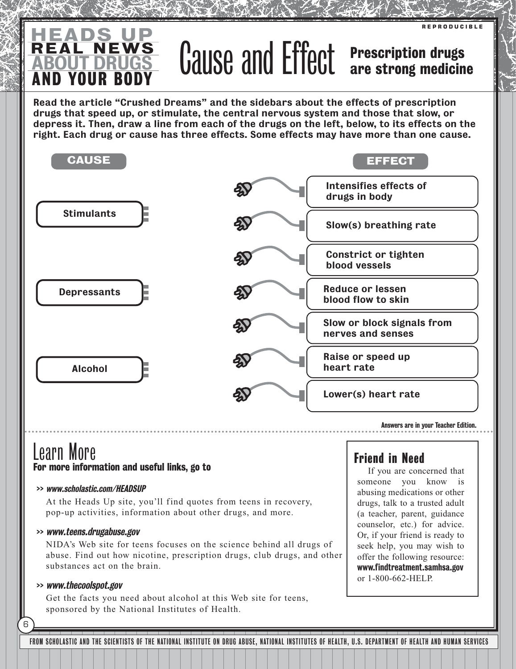### AND YOUR BODY <u>HEADS UP</u> ABOUT DRUGS Cause and Effect Prescription drugs

Prescription drugs

**REPRODUCIBLE** 

Read the article "Crushed Dreams" and the sidebars about the effects of prescription drugs that speed up, or stimulate, the central nervous system and those that slow, or depress it. Then, draw a line from each of the drugs on the left, below, to its effects on the right. Each drug or cause has three effects. Some effects may have more than one cause.



Learn More For more information and useful links, go to

### >> www.scholastic.com/HEADSUP

REAL

At the Heads Up site, you'll find quotes from teens in recovery, pop-up activities, information about other drugs, and more.

### >> www.teens.drugabuse.gov

NIDA's Web site for teens focuses on the science behind all drugs of abuse. Find out how nicotine, prescription drugs, club drugs, and other substances act on the brain.

### >> www.thecoolspot.gov

6

Get the facts you need about alcohol at this Web site for teens, sponsored by the National Institutes of Health.

### Friend in Need

If you are concerned that someone you know is abusing medications or other drugs, talk to a trusted adult (a teacher, parent, guidance counselor, etc.) for advice. Or, if your friend is ready to seek help, you may wish to offer the following resource: www.findtreatment.samhsa.gov or 1-800-662-HELP.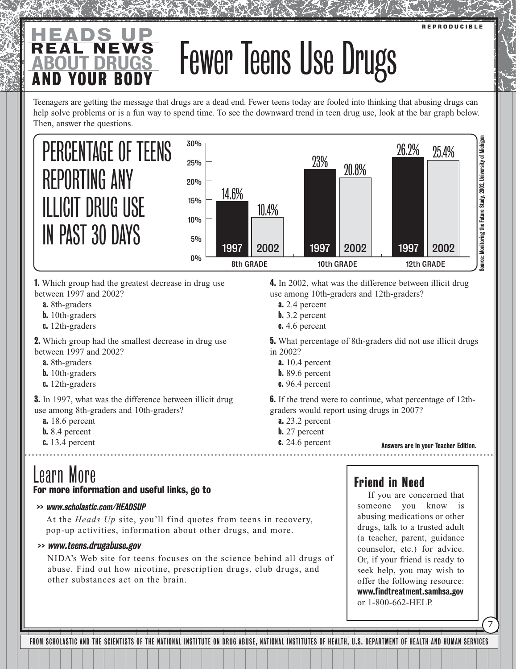### **REPRODUCIBLE**

### AND YOUR BODY REAL NEWS <u>HEADS UP</u> ABOUT DRUGS Fewer Teens Use Drugs

Teenagers are getting the message that drugs are a dead end. Fewer teens today are fooled into thinking that abusing drugs can help solve problems or is a fun way to spend time. To see the downward trend in teen drug use, look at the bar graph below. Then, answer the questions.



1. Which group had the greatest decrease in drug use between 1997 and 2002?

- a. 8th-graders
- **b.** 10th-graders
- c. 12th-graders

2. Which group had the smallest decrease in drug use between 1997 and 2002?

- a. 8th-graders
- b. 10th-graders
- c. 12th-graders

**3.** In 1997, what was the difference between illicit drug use among 8th-graders and 10th-graders?

- a. 18.6 percent
- b. 8.4 percent
- c. 13.4 percent

# Learn More

### For more information and useful links, go to

### >> www.scholastic.com/HEADSUP

At the *Heads Up* site, you'll find quotes from teens in recovery, pop-up activities, information about other drugs, and more.

### >> www.teens.drugabuse.gov

NIDA's Web site for teens focuses on the science behind all drugs of abuse. Find out how nicotine, prescription drugs, club drugs, and other substances act on the brain.

### 4. In 2002, what was the difference between illicit drug use among 10th-graders and 12th-graders?

- a. 2.4 percent
- b. 3.2 percent
- **c.** 4.6 percent

5. What percentage of 8th-graders did not use illicit drugs in 2002?

- a. 10.4 percent
- **b.** 89.6 percent
- **c.** 96.4 percent

6. If the trend were to continue, what percentage of 12thgraders would report using drugs in 2007?

- a. 23.2 percent
- b. 27 percent
- **c.** 24.6 percent

### Answers are in your Teacher Edition.

### Friend in Need

If you are concerned that someone you know is abusing medications or other drugs, talk to a trusted adult (a teacher, parent, guidance counselor, etc.) for advice. Or, if your friend is ready to seek help, you may wish to offer the following resource: www.findtreatment.samhsa.gov or 1-800-662-HELP.

7